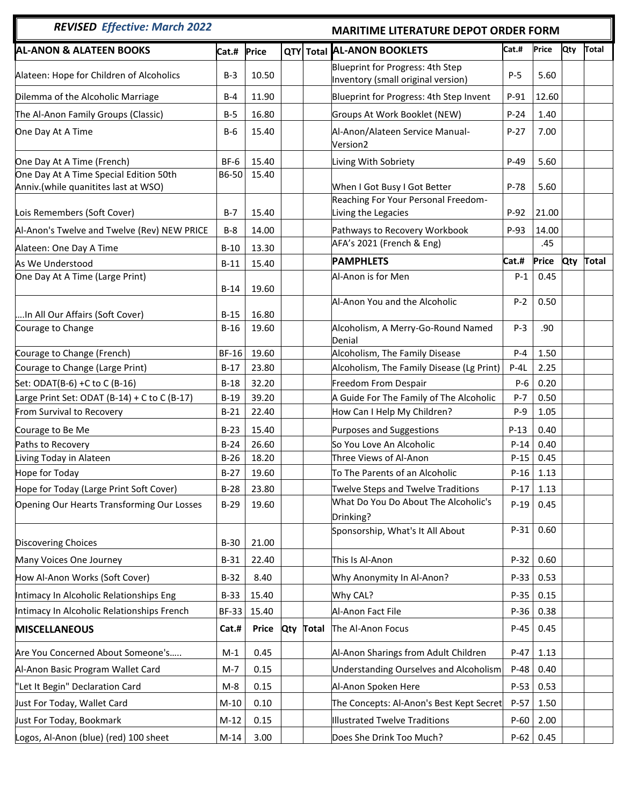## *REVISED**Effective: March 2022* **MARITIME LITERATURE DEPOT ORDER FORM**

| <b>REVISED Effective: March 2022</b>         |              | <b>MARITIME LITERATURE DEPOT ORDER FORM</b> |     |              |                                                                        |        |       |            |       |
|----------------------------------------------|--------------|---------------------------------------------|-----|--------------|------------------------------------------------------------------------|--------|-------|------------|-------|
| <b>AL-ANON &amp; ALATEEN BOOKS</b>           | Cat.#        | Price                                       |     |              | QTY Total AL-ANON BOOKLETS                                             | Cat.#  | Price | <b>Qty</b> | Total |
| Alateen: Hope for Children of Alcoholics     | $B-3$        | 10.50                                       |     |              | Blueprint for Progress: 4th Step<br>Inventory (small original version) | $P-5$  | 5.60  |            |       |
| Dilemma of the Alcoholic Marriage            | $B-4$        | 11.90                                       |     |              | Blueprint for Progress: 4th Step Invent                                | $P-91$ | 12.60 |            |       |
| The Al-Anon Family Groups (Classic)          | $B-5$        | 16.80                                       |     |              | Groups At Work Booklet (NEW)                                           | $P-24$ | 1.40  |            |       |
| One Day At A Time                            | $B-6$        | 15.40                                       |     |              | Al-Anon/Alateen Service Manual-<br>Version2                            | $P-27$ | 7.00  |            |       |
| One Day At A Time (French)                   | BF-6         | 15.40                                       |     |              | Living With Sobriety                                                   | $P-49$ | 5.60  |            |       |
| One Day At A Time Special Edition 50th       | B6-50        | 15.40                                       |     |              |                                                                        |        |       |            |       |
| Anniv.(while quanitites last at WSO)         |              |                                             |     |              | When I Got Busy I Got Better                                           | P-78   | 5.60  |            |       |
| Lois Remembers (Soft Cover)                  | $B-7$        | 15.40                                       |     |              | Reaching For Your Personal Freedom-<br>Living the Legacies             | $P-92$ | 21.00 |            |       |
| Al-Anon's Twelve and Twelve (Rev) NEW PRICE  | $B-8$        | 14.00                                       |     |              | Pathways to Recovery Workbook                                          | P-93   | 14.00 |            |       |
| Alateen: One Day A Time                      | $B-10$       | 13.30                                       |     |              | AFA's 2021 (French & Eng)                                              |        | .45   |            |       |
| As We Understood                             | $B-11$       | 15.40                                       |     |              | <b>PAMPHLETS</b>                                                       | Cat.#  | Price | Qty        | Total |
| One Day At A Time (Large Print)              |              |                                             |     |              | Al-Anon is for Men                                                     | $P-1$  | 0.45  |            |       |
|                                              | $B-14$       | 19.60                                       |     |              |                                                                        |        |       |            |       |
| In All Our Affairs (Soft Cover)              | $B-15$       | 16.80                                       |     |              | Al-Anon You and the Alcoholic                                          | $P-2$  | 0.50  |            |       |
| Courage to Change                            | $B-16$       | 19.60                                       |     |              | Alcoholism, A Merry-Go-Round Named<br>Denial                           | $P-3$  | .90   |            |       |
| Courage to Change (French)                   | <b>BF-16</b> | 19.60                                       |     |              | Alcoholism, The Family Disease                                         | $P-4$  | 1.50  |            |       |
| Courage to Change (Large Print)              | $B-17$       | 23.80                                       |     |              | Alcoholism, The Family Disease (Lg Print)                              | $P-4L$ | 2.25  |            |       |
| Set: ODAT(B-6) +C to C (B-16)                | $B-18$       | 32.20                                       |     |              | Freedom From Despair                                                   | $P-6$  | 0.20  |            |       |
| Large Print Set: ODAT (B-14) + C to C (B-17) | $B-19$       | 39.20                                       |     |              | A Guide For The Family of The Alcoholic                                | $P-7$  | 0.50  |            |       |
| From Survival to Recovery                    | $B-21$       | 22.40                                       |     |              | How Can I Help My Children?                                            | $P-9$  | 1.05  |            |       |
| Courage to Be Me                             | $B-23$       | 15.40                                       |     |              | Purposes and Suggestions                                               | $P-13$ | 0.40  |            |       |
| Paths to Recovery                            | $B-24$       | 26.60                                       |     |              | So You Love An Alcoholic                                               | $P-14$ | 0.40  |            |       |
| Living Today in Alateen                      | $B-26$       | 18.20                                       |     |              | Three Views of Al-Anon                                                 | $P-15$ | 0.45  |            |       |
| Hope for Today                               | $B-27$       | 19.60                                       |     |              | To The Parents of an Alcoholic                                         | $P-16$ | 1.13  |            |       |
| Hope for Today (Large Print Soft Cover)      | $B-28$       | 23.80                                       |     |              | Twelve Steps and Twelve Traditions                                     | $P-17$ | 1.13  |            |       |
| Opening Our Hearts Transforming Our Losses   | $B-29$       | 19.60                                       |     |              | What Do You Do About The Alcoholic's                                   | $P-19$ | 0.45  |            |       |
|                                              |              |                                             |     |              | Drinking?                                                              |        |       |            |       |
| <b>Discovering Choices</b>                   | $B-30$       | 21.00                                       |     |              | Sponsorship, What's It All About                                       | $P-31$ | 0.60  |            |       |
| Many Voices One Journey                      | $B-31$       | 22.40                                       |     |              | This Is Al-Anon                                                        | $P-32$ | 0.60  |            |       |
| How Al-Anon Works (Soft Cover)               | $B-32$       | 8.40                                        |     |              | Why Anonymity In Al-Anon?                                              | P-33   | 0.53  |            |       |
| Intimacy In Alcoholic Relationships Eng      | $B-33$       | 15.40                                       |     |              | Why CAL?                                                               | $P-35$ | 0.15  |            |       |
| Intimacy In Alcoholic Relationships French   | <b>BF-33</b> | 15.40                                       |     |              | Al-Anon Fact File                                                      | P-36   | 0.38  |            |       |
| <b>MISCELLANEOUS</b>                         | Cat.#        | <b>Price</b>                                | Qty | <b>Total</b> | The Al-Anon Focus                                                      | $P-45$ | 0.45  |            |       |
| Are You Concerned About Someone's            | $M-1$        | 0.45                                        |     |              | Al-Anon Sharings from Adult Children                                   | $P-47$ | 1.13  |            |       |
| Al-Anon Basic Program Wallet Card            | $M-7$        | 0.15                                        |     |              | <b>Understanding Ourselves and Alcoholism</b>                          | $P-48$ | 0.40  |            |       |
| "Let It Begin" Declaration Card              | $M-8$        | 0.15                                        |     |              | Al-Anon Spoken Here                                                    | $P-53$ | 0.53  |            |       |
| Just For Today, Wallet Card                  | $M-10$       | 0.10                                        |     |              | The Concepts: Al-Anon's Best Kept Secret                               | $P-57$ | 1.50  |            |       |
| Just For Today, Bookmark                     | $M-12$       | 0.15                                        |     |              | <b>Illustrated Twelve Traditions</b>                                   | $P-60$ | 2.00  |            |       |
| Logos, Al-Anon (blue) (red) 100 sheet        | $M-14$       | 3.00                                        |     |              | Does She Drink Too Much?                                               | $P-62$ | 0.45  |            |       |
|                                              |              |                                             |     |              |                                                                        |        |       |            |       |